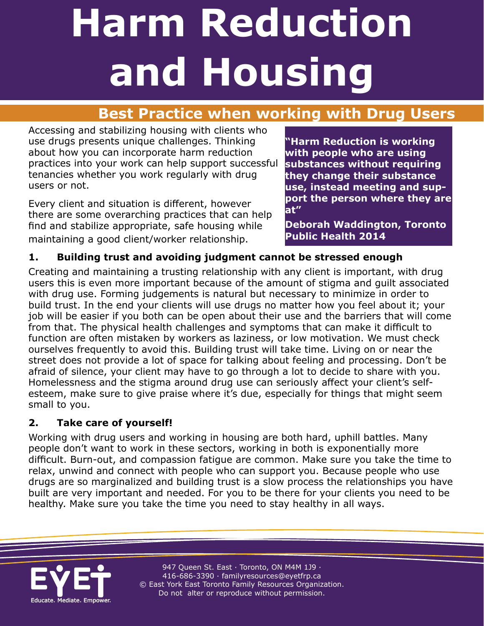# **Best Practice when working with Drug Users**

Accessing and stabilizing housing with clients who use drugs presents unique challenges. Thinking about how you can incorporate harm reduction practices into your work can help support successful tenancies whether you work regularly with drug users or not.

Every client and situation is different, however there are some overarching practices that can help find and stabilize appropriate, safe housing while maintaining a good client/worker relationship.

**"Harm Reduction is working with people who are using substances without requiring they change their substance use, instead meeting and support the person where they are at"** 

**Deborah Waddington, Toronto Public Health 2014**

### **1. Building trust and avoiding judgment cannot be stressed enough**

Creating and maintaining a trusting relationship with any client is important, with drug users this is even more important because of the amount of stigma and guilt associated with drug use. Forming judgements is natural but necessary to minimize in order to build trust. In the end your clients will use drugs no matter how you feel about it; your job will be easier if you both can be open about their use and the barriers that will come from that. The physical health challenges and symptoms that can make it difficult to function are often mistaken by workers as laziness, or low motivation. We must check ourselves frequently to avoid this. Building trust will take time. Living on or near the street does not provide a lot of space for talking about feeling and processing. Don't be afraid of silence, your client may have to go through a lot to decide to share with you. Homelessness and the stigma around drug use can seriously affect your client's selfesteem, make sure to give praise where it's due, especially for things that might seem small to you.

### **2. Take care of yourself!**

Working with drug users and working in housing are both hard, uphill battles. Many people don't want to work in these sectors, working in both is exponentially more difficult. Burn-out, and compassion fatigue are common. Make sure you take the time to relax, unwind and connect with people who can support you. Because people who use drugs are so marginalized and building trust is a slow process the relationships you have built are very important and needed. For you to be there for your clients you need to be healthy. Make sure you take the time you need to stay healthy in all ways.

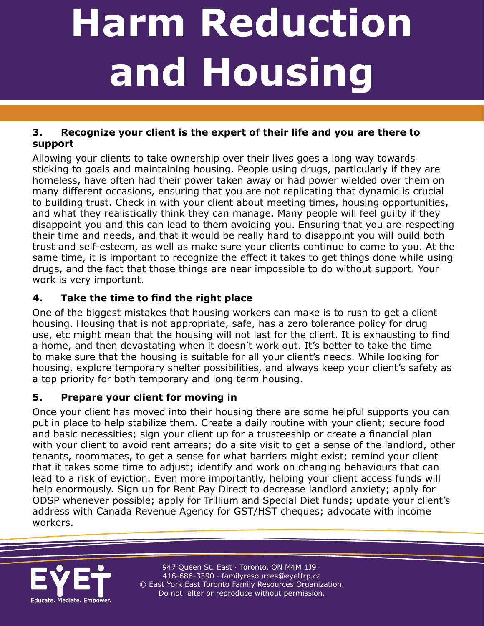**A Resource for Toronto Housing Professionals** 

### **3. Recognize your client is the expert of their life and you are there to support**

Allowing your clients to take ownership over their lives goes a long way towards sticking to goals and maintaining housing. People using drugs, particularly if they are homeless, have often had their power taken away or had power wielded over them on many different occasions, ensuring that you are not replicating that dynamic is crucial to building trust. Check in with your client about meeting times, housing opportunities, and what they realistically think they can manage. Many people will feel guilty if they disappoint you and this can lead to them avoiding you. Ensuring that you are respecting their time and needs, and that it would be really hard to disappoint you will build both trust and self-esteem, as well as make sure your clients continue to come to you. At the same time, it is important to recognize the effect it takes to get things done while using drugs, and the fact that those things are near impossible to do without support. Your work is very important.

## **4. Take the time to find the right place**

One of the biggest mistakes that housing workers can make is to rush to get a client housing. Housing that is not appropriate, safe, has a zero tolerance policy for drug use, etc might mean that the housing will not last for the client. It is exhausting to find a home, and then devastating when it doesn't work out. It's better to take the time to make sure that the housing is suitable for all your client's needs. While looking for housing, explore temporary shelter possibilities, and always keep your client's safety as a top priority for both temporary and long term housing.

## **5. Prepare your client for moving in**

Once your client has moved into their housing there are some helpful supports you can put in place to help stabilize them. Create a daily routine with your client; secure food and basic necessities; sign your client up for a trusteeship or create a financial plan with your client to avoid rent arrears; do a site visit to get a sense of the landlord, other tenants, roommates, to get a sense for what barriers might exist; remind your client that it takes some time to adjust; identify and work on changing behaviours that can lead to a risk of eviction. Even more importantly, helping your client access funds will help enormously. Sign up for Rent Pay Direct to decrease landlord anxiety; apply for ODSP whenever possible; apply for Trillium and Special Diet funds; update your client's address with Canada Revenue Agency for GST/HST cheques; advocate with income workers.

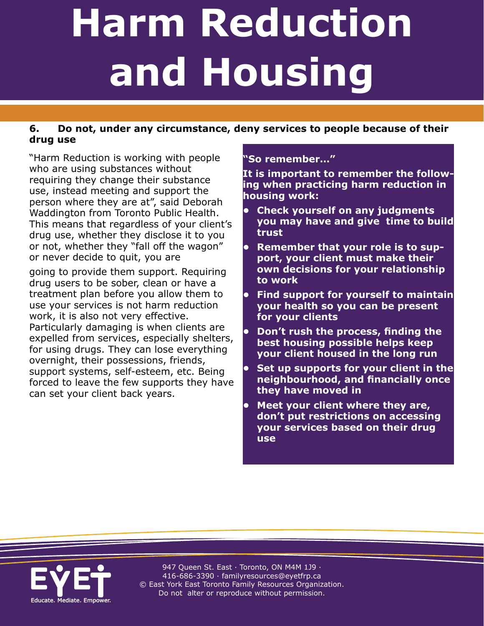#### **6. Do not, under any circumstance, deny services to people because of their drug use**

"Harm Reduction is working with people who are using substances without requiring they change their substance use, instead meeting and support the person where they are at", said Deborah Waddington from Toronto Public Health. This means that regardless of your client's drug use, whether they disclose it to you or not, whether they "fall off the wagon" or never decide to quit, you are

going to provide them support. Requiring drug users to be sober, clean or have a treatment plan before you allow them to use your services is not harm reduction work, it is also not very effective. Particularly damaging is when clients are expelled from services, especially shelters, for using drugs. They can lose everything overnight, their possessions, friends, support systems, self-esteem, etc. Being forced to leave the few supports they have can set your client back years.

#### **"So remember…"**

**A Resource for Toronto Housing Professionals** 

**It is important to remember the following when practicing harm reduction in housing work:** 

- **• Check yourself on any judgments you may have and give time to build trust**
- **• Remember that your role is to support, your client must make their own decisions for your relationship to work**
- **• Find support for yourself to maintain your health so you can be present for your clients**
- **• Don't rush the process, finding the best housing possible helps keep your client housed in the long run**
- **• Set up supports for your client in the neighbourhood, and financially once they have moved in**
- **• Meet your client where they are, don't put restrictions on accessing your services based on their drug use**